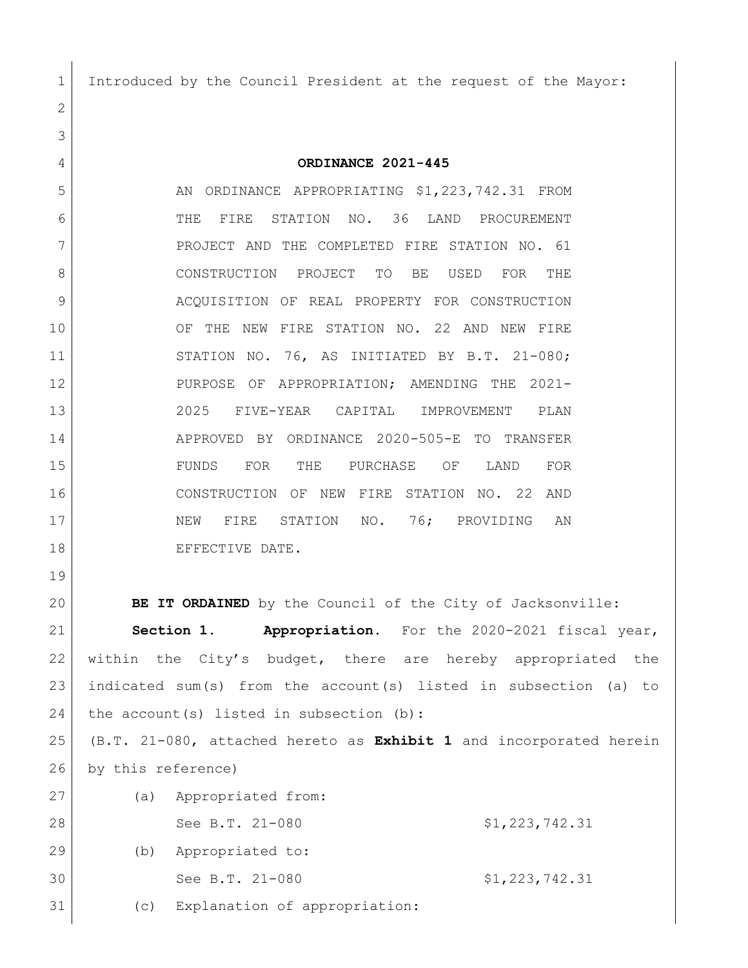Introduced by the Council President at the request of the Mayor:

 **ORDINANCE 2021-445** 5 AN ORDINANCE APPROPRIATING \$1,223,742.31 FROM THE FIRE STATION NO. 36 LAND PROCUREMENT 7 PROJECT AND THE COMPLETED FIRE STATION NO. 61 CONSTRUCTION PROJECT TO BE USED FOR THE 9 ACQUISITION OF REAL PROPERTY FOR CONSTRUCTION OF THE NEW FIRE STATION NO. 22 AND NEW FIRE STATION NO. 76, AS INITIATED BY B.T. 21-080; PURPOSE OF APPROPRIATION; AMENDING THE 2021- 2025 FIVE-YEAR CAPITAL IMPROVEMENT PLAN APPROVED BY ORDINANCE 2020-505-E TO TRANSFER FUNDS FOR THE PURCHASE OF LAND FOR CONSTRUCTION OF NEW FIRE STATION NO. 22 AND 17 | NEW FIRE STATION NO. 76; PROVIDING AN 18 EFFECTIVE DATE.

**BE IT ORDAINED** by the Council of the City of Jacksonville:

 **Section 1. Appropriation.** For the 2020-2021 fiscal year, within the City's budget, there are hereby appropriated the indicated sum(s) from the account(s) listed in subsection (a) to 24 the account(s) listed in subsection (b):

 (B.T. 21-080, attached hereto as **Exhibit 1** and incorporated herein by this reference)

 (a) Appropriated from: 28 See B.T. 21-080 \$1,223,742.31 (b) Appropriated to: 30 See B.T. 21-080 \$1,223,742.31 (c) Explanation of appropriation: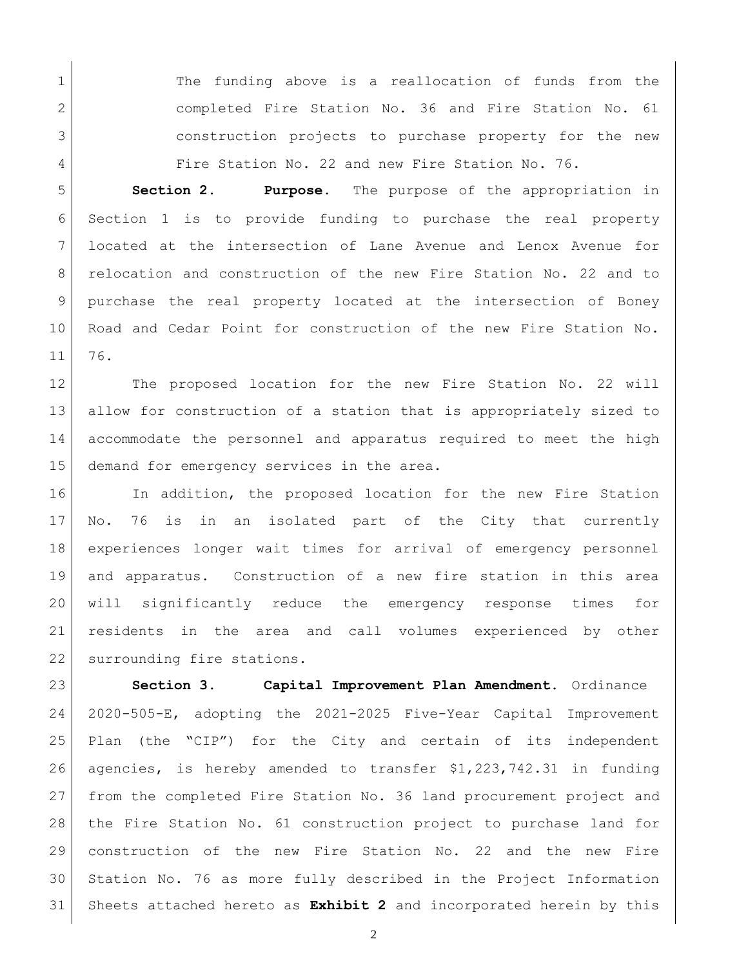1 1 The funding above is a reallocation of funds from the 2 completed Fire Station No. 36 and Fire Station No. 61 construction projects to purchase property for the new Fire Station No. 22 and new Fire Station No. 76.

 **Section 2. Purpose.** The purpose of the appropriation in Section 1 is to provide funding to purchase the real property located at the intersection of Lane Avenue and Lenox Avenue for relocation and construction of the new Fire Station No. 22 and to purchase the real property located at the intersection of Boney Road and Cedar Point for construction of the new Fire Station No. 76.

12 The proposed location for the new Fire Station No. 22 will allow for construction of a station that is appropriately sized to accommodate the personnel and apparatus required to meet the high 15 demand for emergency services in the area.

16 In addition, the proposed location for the new Fire Station No. 76 is in an isolated part of the City that currently experiences longer wait times for arrival of emergency personnel and apparatus. Construction of a new fire station in this area will significantly reduce the emergency response times for residents in the area and call volumes experienced by other 22 surrounding fire stations.

 **Section 3. Capital Improvement Plan Amendment.** Ordinance 2020-505-E, adopting the 2021-2025 Five-Year Capital Improvement Plan (the "CIP") for the City and certain of its independent agencies, is hereby amended to transfer \$1,223,742.31 in funding 27 from the completed Fire Station No. 36 land procurement project and the Fire Station No. 61 construction project to purchase land for construction of the new Fire Station No. 22 and the new Fire Station No. 76 as more fully described in the Project Information Sheets attached hereto as **Exhibit 2** and incorporated herein by this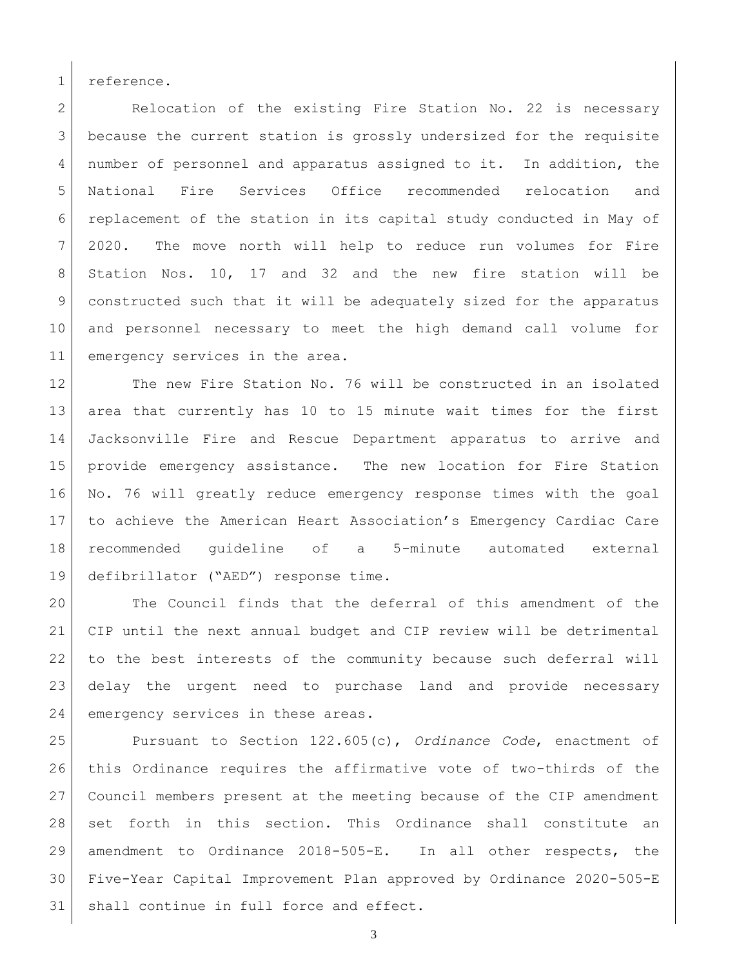reference.

2 Relocation of the existing Fire Station No. 22 is necessary because the current station is grossly undersized for the requisite number of personnel and apparatus assigned to it. In addition, the National Fire Services Office recommended relocation and replacement of the station in its capital study conducted in May of 2020. The move north will help to reduce run volumes for Fire Station Nos. 10, 17 and 32 and the new fire station will be constructed such that it will be adequately sized for the apparatus and personnel necessary to meet the high demand call volume for 11 emergency services in the area.

12 The new Fire Station No. 76 will be constructed in an isolated area that currently has 10 to 15 minute wait times for the first Jacksonville Fire and Rescue Department apparatus to arrive and provide emergency assistance. The new location for Fire Station No. 76 will greatly reduce emergency response times with the goal to achieve the American Heart Association's Emergency Cardiac Care recommended guideline of a 5-minute automated external defibrillator ("AED") response time.

 The Council finds that the deferral of this amendment of the CIP until the next annual budget and CIP review will be detrimental to the best interests of the community because such deferral will delay the urgent need to purchase land and provide necessary 24 emergency services in these areas.

 Pursuant to Section 122.605(c), *Ordinance Code*, enactment of this Ordinance requires the affirmative vote of two-thirds of the Council members present at the meeting because of the CIP amendment set forth in this section. This Ordinance shall constitute an amendment to Ordinance 2018-505-E. In all other respects, the Five-Year Capital Improvement Plan approved by Ordinance 2020-505-E 31 | shall continue in full force and effect.